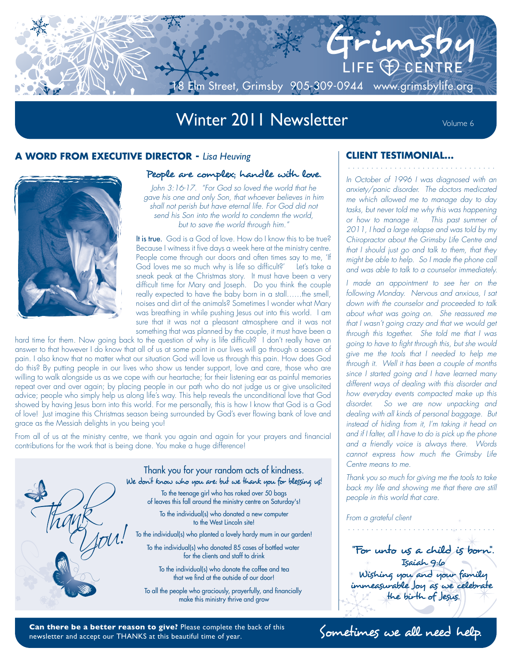

# Winter 2011 Newsletter Volume 6

## **A WORD FROM EXECUTIVE DIRECTOR -** *Lisa Heuving* **CLIENT TESTIMONIAL...**



#### People are complex; handle with love.

*John 3:16-17. "For God so loved the world that he gave his one and only Son, that whoever believes in him shall not perish but have eternal life. For God did not send his Son into the world to condemn the world, but to save the world through him."*

It is true. God is a God of love. How do I know this to be true? Because I witness it five days a week here at the ministry centre. People come through our doors and often times say to me, 'If God loves me so much why is life so difficult?' Let's take a sneak peak at the Christmas story. It must have been a very difficult time for Mary and Joseph. Do you think the couple really expected to have the baby born in a stall……the smell, noises and dirt of the animals? Sometimes I wonder what Mary was breathing in while pushing Jesus out into this world. I am sure that it was not a pleasant atmosphere and it was not something that was planned by the couple, it must have been a

hard time for them. Now going back to the question of why is life difficult? I don't really have an answer to that however I do know that all of us at some point in our lives will go through a season of pain. I also know that no matter what our situation God will love us through this pain. How does God do this? By putting people in our lives who show us tender support, love and care, those who are willing to walk alongside us as we cope with our heartache; for their listening ear as painful memories repeat over and over again; by placing people in our path who do not judge us or give unsolicited advice; people who simply help us along life's way. This help reveals the unconditional love that God showed by having Jesus born into this world. For me personally, this is how I know that God is a God of love! Just imagine this Christmas season being surrounded by God's ever flowing bank of love and grace as the Messiah delights in you being you!

From all of us at the ministry centre, we thank you again and again for your prayers and financial contributions for the work that is being done. You make a huge difference!



Thank you for your random acts of kindness. We don't know who you are: but we thank you for blessing us! To the teenage girl who has raked over 50 bags of leaves this fall around the ministry centre on Saturday's!

To the individual(s) who donated a new computer to the West Lincoln site!

To the individual(s) who planted a lovely hardy mum in our garden!

To the individual(s) who donated 85 cases of bottled water for the clients and staff to drink

To the individual(s) who donate the coffee and tea that we find at the outside of our door!

To all the people who graciously, prayerfully, and financially make this ministry thrive and grow

*In October of 1996 I was diagnosed with an anxiety/panic disorder. The doctors medicated me which allowed me to manage day to day tasks, but never told me why this was happening or how to manage it. This past summer of 2011, I had a large relapse and was told by my Chiropractor about the Grimsby Life Centre and that I should just go and talk to them, that they might be able to help. So I made the phone call and was able to talk to a counselor immediately.* 

*. . . . . . . . . . . . . . . . . . . . . . . . . . . . . . . .*

*I made an appointment to see her on the following Monday. Nervous and anxious, I sat down with the counselor and proceeded to talk about what was going on. She reassured me that I wasn't going crazy and that we would get through this together. She told me that I was going to have to fight through this, but she would give me the tools that I needed to help me through it. Well it has been a couple of months since I started going and I have learned many different ways of dealing with this disorder and how everyday events compacted make up this disorder. So we are now unpacking and dealing with all kinds of personal baggage. But instead of hiding from it, I'm taking it head on and if I falter, all I have to do is pick up the phone and a friendly voice is always there. Words cannot express how much the Grimsby Life Centre means to me.*

*Thank you so much for giving me the tools to take back my life and showing me that there are still people in this world that care.*

*. . . . . . . . . . . . . . . . . . . . . . . . . . . . . . . .*

*From a grateful client*

"For unto us a child is born". Isaiah 9:6 Wishing you and your family immeasurable Joy as we celebrate the birth of Jesus.

Can there be a better reason to give? Please complete the back of this **Sometimes** we all need help. newsletter and accept our THANKS at this beautiful time of year.